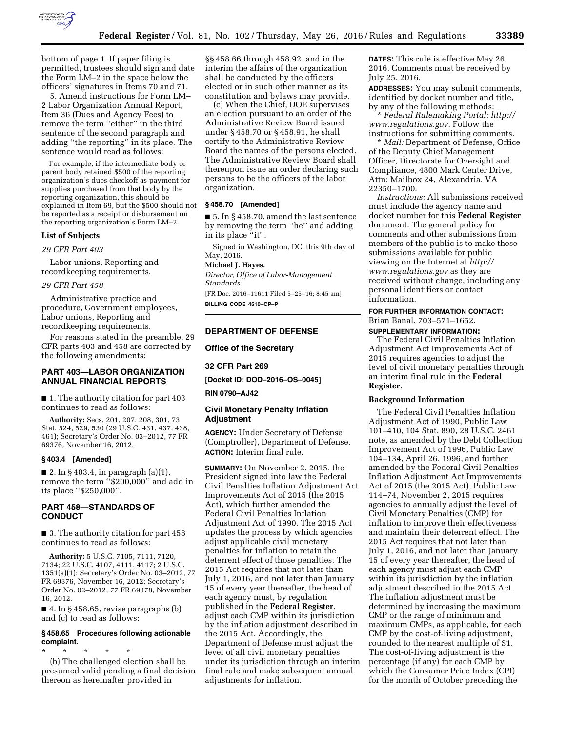

5. Amend instructions for Form LM– 2 Labor Organization Annual Report, Item 36 (Dues and Agency Fees) to remove the term ''either'' in the third sentence of the second paragraph and adding ''the reporting'' in its place. The sentence would read as follows:

For example, if the intermediate body or parent body retained \$500 of the reporting organization's dues checkoff as payment for supplies purchased from that body by the reporting organization, this should be explained in Item 69, but the \$500 should not be reported as a receipt or disbursement on the reporting organization's Form LM–2.

#### **List of Subjects**

*29 CFR Part 403* 

Labor unions, Reporting and recordkeeping requirements.

### *29 CFR Part 458*

Administrative practice and procedure, Government employees, Labor unions, Reporting and recordkeeping requirements.

For reasons stated in the preamble, 29 CFR parts 403 and 458 are corrected by the following amendments:

## **PART 403—LABOR ORGANIZATION ANNUAL FINANCIAL REPORTS**

■ 1. The authority citation for part 403 continues to read as follows:

**Authority:** Secs. 201, 207, 208, 301, 73 Stat. 524, 529, 530 (29 U.S.C. 431, 437, 438, 461); Secretary's Order No. 03–2012, 77 FR 69376, November 16, 2012.

#### **§ 403.4 [Amended]**

■ 2. In § 403.4, in paragraph  $(a)(1)$ , remove the term "\$200,000" and add in its place ''\$250,000''.

# **PART 458—STANDARDS OF CONDUCT**

■ 3. The authority citation for part 458 continues to read as follows:

**Authority:** 5 U.S.C. 7105, 7111, 7120, 7134; 22 U.S.C. 4107, 4111, 4117; 2 U.S.C. 1351(a)(1); Secretary's Order No. 03–2012, 77 FR 69376, November 16, 2012; Secretary's Order No. 02–2012, 77 FR 69378, November 16, 2012.

■ 4. In § 458.65, revise paragraphs (b) and (c) to read as follows:

### **§ 458.65 Procedures following actionable complaint.**

\* \* \* \* \* (b) The challenged election shall be presumed valid pending a final decision thereon as hereinafter provided in

§§ 458.66 through 458.92, and in the interim the affairs of the organization shall be conducted by the officers elected or in such other manner as its constitution and bylaws may provide.

(c) When the Chief, DOE supervises an election pursuant to an order of the Administrative Review Board issued under § 458.70 or § 458.91, he shall certify to the Administrative Review Board the names of the persons elected. The Administrative Review Board shall thereupon issue an order declaring such persons to be the officers of the labor organization.

#### **§ 458.70 [Amended]**

■ 5. In §458.70, amend the last sentence by removing the term ''he'' and adding in its place ''it''.

Signed in Washington, DC, this 9th day of May, 2016.

### **Michael J. Hayes,**

*Director, Office of Labor-Management Standards.* 

[FR Doc. 2016–11611 Filed 5–25–16; 8:45 am] **BILLING CODE 4510–CP–P** 

### **DEPARTMENT OF DEFENSE**

**Office of the Secretary** 

### **32 CFR Part 269**

**[Docket ID: DOD–2016–OS–0045] RIN 0790–AJ42** 

### **Civil Monetary Penalty Inflation Adjustment**

**AGENCY:** Under Secretary of Defense (Comptroller), Department of Defense. **ACTION:** Interim final rule.

**SUMMARY:** On November 2, 2015, the President signed into law the Federal Civil Penalties Inflation Adjustment Act Improvements Act of 2015 (the 2015 Act), which further amended the Federal Civil Penalties Inflation Adjustment Act of 1990. The 2015 Act updates the process by which agencies adjust applicable civil monetary penalties for inflation to retain the deterrent effect of those penalties. The 2015 Act requires that not later than July 1, 2016, and not later than January 15 of every year thereafter, the head of each agency must, by regulation published in the **Federal Register**, adjust each CMP within its jurisdiction by the inflation adjustment described in the 2015 Act. Accordingly, the Department of Defense must adjust the level of all civil monetary penalties under its jurisdiction through an interim final rule and make subsequent annual adjustments for inflation.

**DATES:** This rule is effective May 26, 2016. Comments must be received by July 25, 2016.

**ADDRESSES:** You may submit comments, identified by docket number and title, by any of the following methods:

\* *Federal Rulemaking Portal: [http://](http://www.regulations.gov) [www.regulations.gov.](http://www.regulations.gov)* Follow the instructions for submitting comments.

\* *Mail:* Department of Defense, Office of the Deputy Chief Management Officer, Directorate for Oversight and Compliance, 4800 Mark Center Drive, Attn: Mailbox 24, Alexandria, VA 22350–1700.

*Instructions:* All submissions received must include the agency name and docket number for this **Federal Register**  document. The general policy for comments and other submissions from members of the public is to make these submissions available for public viewing on the Internet at *[http://](http://www.regulations.gov) [www.regulations.gov](http://www.regulations.gov)* as they are received without change, including any personal identifiers or contact information.

# **FOR FURTHER INFORMATION CONTACT:**  Brian Banal, 703–571–1652.

#### **SUPPLEMENTARY INFORMATION:**

The Federal Civil Penalties Inflation Adjustment Act Improvements Act of 2015 requires agencies to adjust the level of civil monetary penalties through an interim final rule in the **Federal Register**.

### **Background Information**

The Federal Civil Penalties Inflation Adjustment Act of 1990, Public Law 101–410, 104 Stat. 890, 28 U.S.C. 2461 note, as amended by the Debt Collection Improvement Act of 1996, Public Law 104–134, April 26, 1996, and further amended by the Federal Civil Penalties Inflation Adjustment Act Improvements Act of 2015 (the 2015 Act), Public Law 114–74, November 2, 2015 requires agencies to annually adjust the level of Civil Monetary Penalties (CMP) for inflation to improve their effectiveness and maintain their deterrent effect. The 2015 Act requires that not later than July 1, 2016, and not later than January 15 of every year thereafter, the head of each agency must adjust each CMP within its jurisdiction by the inflation adjustment described in the 2015 Act. The inflation adjustment must be determined by increasing the maximum CMP or the range of minimum and maximum CMPs, as applicable, for each CMP by the cost-of-living adjustment, rounded to the nearest multiple of \$1. The cost-of-living adjustment is the percentage (if any) for each CMP by which the Consumer Price Index (CPI) for the month of October preceding the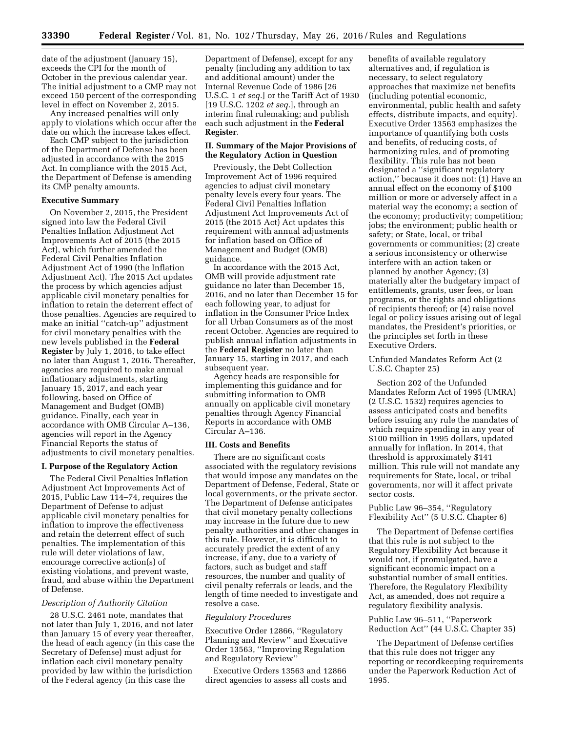date of the adjustment (January 15), exceeds the CPI for the month of October in the previous calendar year. The initial adjustment to a CMP may not exceed 150 percent of the corresponding level in effect on November 2, 2015.

Any increased penalties will only apply to violations which occur after the date on which the increase takes effect.

Each CMP subject to the jurisdiction of the Department of Defense has been adjusted in accordance with the 2015 Act. In compliance with the 2015 Act, the Department of Defense is amending its CMP penalty amounts.

### **Executive Summary**

On November 2, 2015, the President signed into law the Federal Civil Penalties Inflation Adjustment Act Improvements Act of 2015 (the 2015 Act), which further amended the Federal Civil Penalties Inflation Adjustment Act of 1990 (the Inflation Adjustment Act). The 2015 Act updates the process by which agencies adjust applicable civil monetary penalties for inflation to retain the deterrent effect of those penalties. Agencies are required to make an initial ''catch-up'' adjustment for civil monetary penalties with the new levels published in the **Federal Register** by July 1, 2016, to take effect no later than August 1, 2016. Thereafter, agencies are required to make annual inflationary adjustments, starting January 15, 2017, and each year following, based on Office of Management and Budget (OMB) guidance. Finally, each year in accordance with OMB Circular A–136, agencies will report in the Agency Financial Reports the status of adjustments to civil monetary penalties.

### **I. Purpose of the Regulatory Action**

The Federal Civil Penalties Inflation Adjustment Act Improvements Act of 2015, Public Law 114–74, requires the Department of Defense to adjust applicable civil monetary penalties for inflation to improve the effectiveness and retain the deterrent effect of such penalties. The implementation of this rule will deter violations of law, encourage corrective action(s) of existing violations, and prevent waste, fraud, and abuse within the Department of Defense.

### *Description of Authority Citation*

28 U.S.C. 2461 note, mandates that not later than July 1, 2016, and not later than January 15 of every year thereafter, the head of each agency (in this case the Secretary of Defense) must adjust for inflation each civil monetary penalty provided by law within the jurisdiction of the Federal agency (in this case the

Department of Defense), except for any penalty (including any addition to tax and additional amount) under the Internal Revenue Code of 1986 [26 U.S.C. 1 *et seq.*] or the Tariff Act of 1930 [19 U.S.C. 1202 *et seq.*], through an interim final rulemaking; and publish each such adjustment in the **Federal Register**.

## **II. Summary of the Major Provisions of the Regulatory Action in Question**

Previously, the Debt Collection Improvement Act of 1996 required agencies to adjust civil monetary penalty levels every four years. The Federal Civil Penalties Inflation Adjustment Act Improvements Act of 2015 (the 2015 Act) Act updates this requirement with annual adjustments for inflation based on Office of Management and Budget (OMB) guidance.

In accordance with the 2015 Act, OMB will provide adjustment rate guidance no later than December 15, 2016, and no later than December 15 for each following year, to adjust for inflation in the Consumer Price Index for all Urban Consumers as of the most recent October. Agencies are required to publish annual inflation adjustments in the **Federal Register** no later than January 15, starting in 2017, and each subsequent year.

Agency heads are responsible for implementing this guidance and for submitting information to OMB annually on applicable civil monetary penalties through Agency Financial Reports in accordance with OMB Circular A–136.

### **III. Costs and Benefits**

There are no significant costs associated with the regulatory revisions that would impose any mandates on the Department of Defense, Federal, State or local governments, or the private sector. The Department of Defense anticipates that civil monetary penalty collections may increase in the future due to new penalty authorities and other changes in this rule. However, it is difficult to accurately predict the extent of any increase, if any, due to a variety of factors, such as budget and staff resources, the number and quality of civil penalty referrals or leads, and the length of time needed to investigate and resolve a case.

# *Regulatory Procedures*

Executive Order 12866, ''Regulatory Planning and Review'' and Executive Order 13563, ''Improving Regulation and Regulatory Review''

Executive Orders 13563 and 12866 direct agencies to assess all costs and benefits of available regulatory alternatives and, if regulation is necessary, to select regulatory approaches that maximize net benefits (including potential economic, environmental, public health and safety effects, distribute impacts, and equity). Executive Order 13563 emphasizes the importance of quantifying both costs and benefits, of reducing costs, of harmonizing rules, and of promoting flexibility. This rule has not been designated a ''significant regulatory action,'' because it does not: (1) Have an annual effect on the economy of \$100 million or more or adversely affect in a material way the economy; a section of the economy; productivity; competition; jobs; the environment; public health or safety; or State, local, or tribal governments or communities; (2) create a serious inconsistency or otherwise interfere with an action taken or planned by another Agency; (3) materially alter the budgetary impact of entitlements, grants, user fees, or loan programs, or the rights and obligations of recipients thereof; or (4) raise novel legal or policy issues arising out of legal mandates, the President's priorities, or the principles set forth in these Executive Orders.

Unfunded Mandates Reform Act (2 U.S.C. Chapter 25)

Section 202 of the Unfunded Mandates Reform Act of 1995 (UMRA) (2 U.S.C. 1532) requires agencies to assess anticipated costs and benefits before issuing any rule the mandates of which require spending in any year of \$100 million in 1995 dollars, updated annually for inflation. In 2014, that threshold is approximately \$141 million. This rule will not mandate any requirements for State, local, or tribal governments, nor will it affect private sector costs.

Public Law 96–354, ''Regulatory Flexibility Act'' (5 U.S.C. Chapter 6)

The Department of Defense certifies that this rule is not subject to the Regulatory Flexibility Act because it would not, if promulgated, have a significant economic impact on a substantial number of small entities. Therefore, the Regulatory Flexibility Act, as amended, does not require a regulatory flexibility analysis.

Public Law 96–511, ''Paperwork Reduction Act'' (44 U.S.C. Chapter 35)

The Department of Defense certifies that this rule does not trigger any reporting or recordkeeping requirements under the Paperwork Reduction Act of 1995.